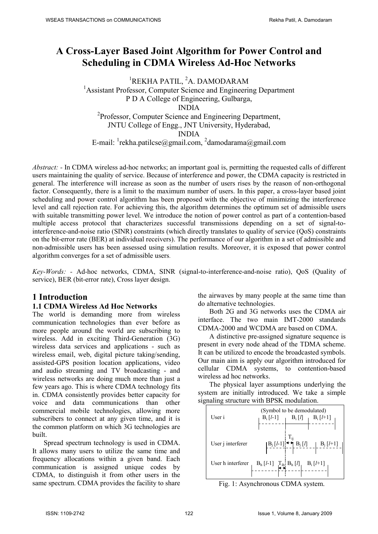# **A Cross-Layer Based Joint Algorithm for Power Control and Scheduling in CDMA Wireless Ad-Hoc Networks**

<sup>1</sup>REKHA PATIL, <sup>2</sup>A. DAMODARAM <sup>1</sup> Assistant Professor, Computer Science and Engineering Department P D A College of Engineering, Gulbarga, INDIA <sup>2</sup>Professor, Computer Science and Engineering Department, JNTU College of Engg., JNT University, Hyderabad, INDIA E-mail: <sup>1</sup>rekha.patilcse@gmail.com, <sup>2</sup>damodarama@gmail.com

*Abstract: -* In CDMA wireless ad-hoc networks; an important goal is, permitting the requested calls of different users maintaining the quality of service. Because of interference and power, the CDMA capacity is restricted in general. The interference will increase as soon as the number of users rises by the reason of non-orthogonal factor. Consequently, there is a limit to the maximum number of users. In this paper, a cross-layer based joint scheduling and power control algorithm has been proposed with the objective of minimizing the interference level and call rejection rate. For achieving this, the algorithm determines the optimum set of admissible users with suitable transmitting power level. We introduce the notion of power control as part of a contention-based multiple access protocol that characterizes successful transmissions depending on a set of signal-tointerference-and-noise ratio (SINR) constraints (which directly translates to quality of service (QoS) constraints on the bit-error rate (BER) at individual receivers). The performance of our algorithm in a set of admissible and non-admissible users has been assessed using simulation results. Moreover, it is exposed that power control algorithm converges for a set of admissible users.

*Key-Words: -* Ad-hoc networks, CDMA, SINR (signal-to-interference-and-noise ratio), QoS (Quality of service), BER (bit-error rate), Cross layer design.

# **1 Introduction**

#### **1.1 CDMA Wireless Ad Hoc Networks**

The world is demanding more from wireless communication technologies than ever before as more people around the world are subscribing to wireless. Add in exciting Third-Generation (3G) wireless data services and applications - such as wireless email, web, digital picture taking/sending, assisted-GPS position location applications, video and audio streaming and TV broadcasting - and wireless networks are doing much more than just a few years ago. This is where CDMA technology fits in. CDMA consistently provides better capacity for voice and data communications than other commercial mobile technologies, allowing more subscribers to connect at any given time, and it is the common platform on which 3G technologies are built.

Spread spectrum technology is used in CDMA. It allows many users to utilize the same time and frequency allocations within a given band. Each communication is assigned unique codes by CDMA, to distinguish it from other users in the same spectrum. CDMA provides the facility to share the airwaves by many people at the same time than do alternative technologies.

Both 2G and 3G networks uses the CDMA air interface. The two main IMT-2000 standards CDMA-2000 and WCDMA are based on CDMA.

A distinctive pre-assigned signature sequence is present in every node ahead of the TDMA scheme. It can be utilized to encode the broadcasted symbols. Our main aim is apply our algorithm introduced for cellular CDMA systems, to contention-based wireless ad hoc networks.

The physical layer assumptions underlying the system are initially introduced. We take a simple signaling structure with BPSK modulation.



Fig. 1: Asynchronous CDMA system.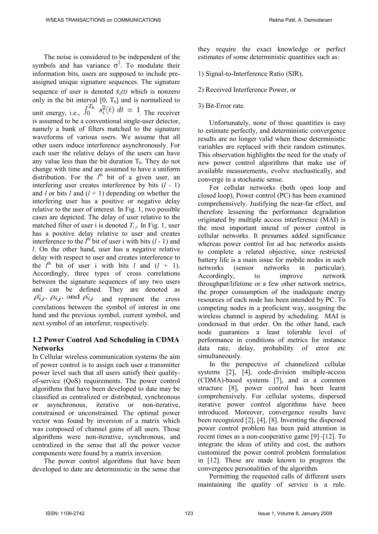The noise is considered to be independent of the symbols and has variance  $\sigma^2$ . To modulate their information bits, users are supposed to include preassigned unique signature sequences. The signature sequence of user is denoted  $S_i(t)$  which is nonzero only in the bit interval  $[0, T_b]$  and is normalized to unit energy, i.e.,  $\int_0^{T_b} s_i^2(t) dt = 1$  The receiver is assumed to be a conventional single-user detector, namely a bank of filters matched to the signature waveforms of various users. We assume that all other users induce interference asynchronously. For each user the relative delays of the users can have any value less than the bit duration  $T_b$ . They do not change with time and are assumed to have a uniform distribution. For the  $l^{\text{th}}$  bit of a given user, an interfering user creates interference by bits (*l* - 1) and *l* or bits *l* and  $(l + 1)$  depending on whether the interfering user has a positive or negative delay relative to the user of interest. In Fig. 1, two possible cases are depicted. The delay of user relative to the matched filter of user i is denoted  $T_{i,j}$ . In Fig. 1, user has a positive delay relative to user and creates interference to the  $l^{\text{th}}$  bit of user i with bits  $(l - 1)$  and *l*. On the other hand, user has a negative relative delay with respect to user and creates interference to the  $l^{\text{th}}$  bit of user i with bits *l* and  $(l + 1)$ . Accordingly, three types of cross correlations between the signature sequences of any two users and can be defined. They are denoted as  $\bar{\rho}_{ij}$ ,  $\bar{\rho}_{ij}$ , and  $\bar{\rho}_{ij}$  and represent the cross correlations between the symbol of interest in one hand and the previous symbol, current symbol, and next symbol of an interferer, respectively.

#### **1.2 Power Control And Scheduling in CDMA Networks**

In Cellular wireless communication systems the aim of power control is to assign each user a transmitter power level such that all users satisfy their qualityof-service (QoS) requirements. The power control algorithms that have been developed to date may be classified as centralized or distributed, synchronous or asynchronous, iterative or non-iterative, constrained or unconstrained. The optimal power vector was found by inversion of a matrix which was composed of channel gains of all users. Those algorithms were non-iterative, synchronous, and centralized in the sense that all the power vector components were found by a matrix inversion.

The power control algorithms that have been developed to date are deterministic in the sense that they require the exact knowledge or perfect estimates of some deterministic quantities such as:

- 1) Signal-to-Interference Ratio (SIR),
- 2) Received Interference Power, or
- 3) Bit-Error rate.

Unfortunately, none of those quantities is easy to estimate perfectly, and deterministic convergence results are no longer valid when these deterministic variables are replaced with their random estimates. This observation highlights the need for the study of new power control algorithms that make use of available measurements, evolve stochastically, and converge in a stochastic sense.

For cellular networks (both open loop and closed loop), Power control (PC) has been examined comprehensively. Justifying the near-far effect, and therefore lessening the performance degradation originated by multiple access interference (MAI) is the most important intend of power control in cellular networks. It presumes added significance whereas power control for ad hoc networks assists to complete a related objective, since restricted battery life is a main issue for mobile nodes in such networks (sensor networks in particular). Accordingly, to improve network throughput/lifetime or a few other network metrics, the proper consumption of the inadequate energy resources of each node has been intended by PC. To competing nodes in a proficient way, assigning the wireless channel is aspired by scheduling. MAI is condensed in that order. On the other hand, each node guarantees a least tolerable level of performance in conditions of metrics for instance data rate, delay, probability of error etc simultaneously.

In the perspective of channelized cellular systems [2], [4], code-division multiple-access (CDMA)-based systems [7], and in a common structure [8], power control has been learnt comprehensively. For cellular systems, dispersed iterative power control algorithms have been introduced. Moreover, convergence results have been recognized [2], [4], [8]. Inventing the dispersed power control problem has been paid attention in recent times as a non-cooperative game [9]–[12]. To integrate the ideas of utility and cost, the authors customized the power control problem formulation in [12]. These are made known to progress the convergence personalities of the algorithm.

Permitting the requested calls of different users maintaining the quality of service is a rule.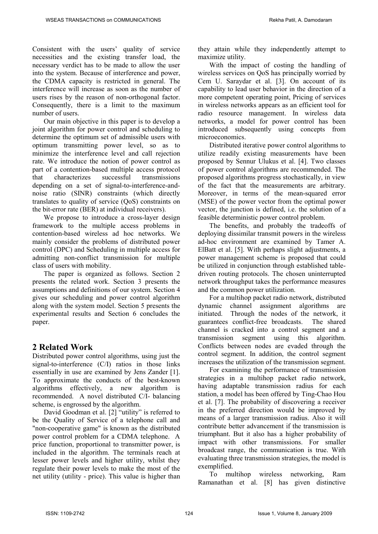Consistent with the users' quality of service necessities and the existing transfer load, the necessary verdict has to be made to allow the user into the system. Because of interference and power, the CDMA capacity is restricted in general. The interference will increase as soon as the number of users rises by the reason of non-orthogonal factor. Consequently, there is a limit to the maximum number of users.

Our main objective in this paper is to develop a joint algorithm for power control and scheduling to determine the optimum set of admissible users with optimum transmitting power level, so as to minimize the interference level and call rejection rate. We introduce the notion of power control as part of a contention-based multiple access protocol that characterizes successful transmissions depending on a set of signal-to-interference-andnoise ratio (SINR) constraints (which directly translates to quality of service (QoS) constraints on the bit-error rate (BER) at individual receivers).

We propose to introduce a cross-layer design framework to the multiple access problems in contention-based wireless ad hoc networks. We mainly consider the problems of distributed power control (DPC) and Scheduling in multiple access for admitting non-conflict transmission for multiple class of users with mobility.

The paper is organized as follows. Section 2 presents the related work. Section 3 presents the assumptions and definitions of our system. Section 4 gives our scheduling and power control algorithm along with the system model. Section 5 presents the experimental results and Section 6 concludes the paper.

# **2 Related Work**

Distributed power control algorithms, using just the signal-to-interference (C/I) ratios in those links essentially in use are examined by Jens Zander [1]. To approximate the conducts of the best-known algorithms effectively, a new algorithm is recommended. A novel distributed C/I- balancing scheme, is engrossed by the algorithm.

David Goodman et al. [2] "utility" is referred to be the Quality of Service of a telephone call and "non-cooperative game" is known as the distributed power control problem for a CDMA telephone. A price function, proportional to transmitter power, is included in the algorithm. The terminals reach at lesser power levels and higher utility, whilst they regulate their power levels to make the most of the net utility (utility - price). This value is higher than they attain while they independently attempt to maximize utility.

With the impact of costing the handling of wireless services on QoS has principally worried by Cem U. Saraydar et al. [3]. On account of its capability to lead user behavior in the direction of a more competent operating point, Pricing of services in wireless networks appears as an efficient tool for radio resource management. In wireless data networks, a model for power control has been introduced subsequently using concepts from microeconomics.

Distributed iterative power control algorithms to utilize readily existing measurements have been proposed by Sennur Ulukus et al. [4]. Two classes of power control algorithms are recommended. The proposed algorithms progress stochastically, in view of the fact that the measurements are arbitrary. Moreover, in terms of the mean-squared error (MSE) of the power vector from the optimal power vector, the junction is defined, i.e. the solution of a feasible deterministic power control problem.

The benefits, and probably the tradeoffs of deploying dissimilar transmit powers in the wireless ad-hoc environment are examined by Tamer A. ElBatt et al. [5]. With perhaps slight adjustments, a power management scheme is proposed that could be utilized in conjunction through established tabledriven routing protocols. The chosen uninterrupted network throughput takes the performance measures and the common power utilization.

For a multihop packet radio network, distributed dynamic channel assignment algorithms are initiated. Through the nodes of the network, it guarantees conflict-free broadcasts. The shared channel is cracked into a control segment and a transmission segment using this algorithm. Conflicts between nodes are evaded through the control segment. In addition, the control segment increases the utilization of the transmission segment.

For examining the performance of transmission strategies in a multihop packet radio network, having adaptable transmission radius for each station, a model has been offered by Ting-Chao Hou et al. [7]. The probability of discovering a receiver in the preferred direction would be improved by means of a larger transmission radius. Also it will contribute better advancement if the transmission is triumphant. But it also has a higher probability of impact with other transmissions. For smaller broadcast range, the communication is true. With evaluating three transmission strategies, the model is exemplified.

To multihop wireless networking, Ram Ramanathan et al. [8] has given distinctive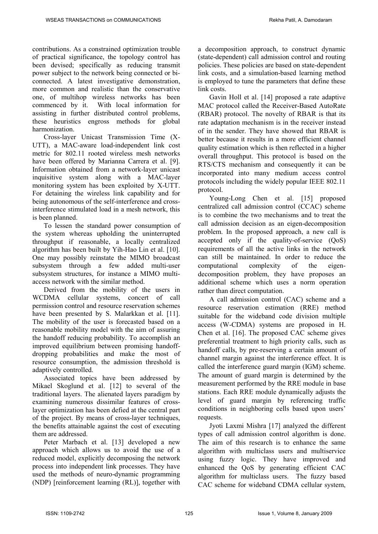contributions. As a constrained optimization trouble of practical significance, the topology control has been devised; specifically as reducing transmit power subject to the network being connected or biconnected. A latest investigative demonstration, more common and realistic than the conservative one, of multihop wireless networks has been commenced by it. With local information for assisting in further distributed control problems, these heuristics engross methods for global harmonization.

Cross-layer Unicast Transmission Time (X-UTT), a MAC-aware load-independent link cost metric for 802.11 rooted wireless mesh networks have been offered by Marianna Carrera et al. [9]. Information obtained from a network-layer unicast inquisitive system along with a MAC-layer monitoring system has been exploited by X-UTT. For detaining the wireless link capability and for being autonomous of the self-interference and crossinterference stimulated load in a mesh network, this is been planned.

To lessen the standard power consumption of the system whereas upholding the uninterrupted throughput if reasonable, a locally centralized algorithm has been built by Yih-Hao Lin et al. [10]. One may possibly reinstate the MIMO broadcast subsystem through a few added multi-user subsystem structures, for instance a MIMO multiaccess network with the similar method.

Derived from the mobility of the users in WCDMA cellular systems, concert of call permission control and resource reservation schemes have been presented by S. Malarkkan et al. [11]. The mobility of the user is forecasted based on a reasonable mobility model with the aim of assuring the handoff reducing probability. To accomplish an improved equilibrium between promising handoffdropping probabilities and make the most of resource consumption, the admission threshold is adaptively controlled.

Associated topics have been addressed by Mikael Skoglund et al. [12] to several of the traditional layers. The alienated layers paradigm by examining numerous dissimilar features of crosslayer optimization has been defied at the central part of the project. By means of cross-layer techniques, the benefits attainable against the cost of executing them are addressed.

Peter Marbach et al. [13] developed a new approach which allows us to avoid the use of a reduced model, explicitly decomposing the network process into independent link processes. They have used the methods of neuro-dynamic programming (NDP) [reinforcement learning (RL)], together with a decomposition approach, to construct dynamic (state-dependent) call admission control and routing policies. These policies are based on state-dependent link costs, and a simulation-based learning method is employed to tune the parameters that define these link costs

Gavin Holl et al. [14] proposed a rate adaptive MAC protocol called the Receiver-Based AutoRate (RBAR) protocol. The novelty of RBAR is that its rate adaptation mechanism is in the receiver instead of in the sender. They have showed that RBAR is better because it results in a more efficient channel quality estimation which is then reflected in a higher overall throughput. This protocol is based on the RTS/CTS mechanism and consequently it can be incorporated into many medium access control protocols including the widely popular IEEE 802.11 protocol.

Young-Long Chen et al. [15] proposed centralized call admission control (CCAC) scheme is to combine the two mechanisms and to treat the call admission decision as an eigen-decomposition problem. In the proposed approach, a new call is accepted only if the quality-of-service (QoS) requirements of all the active links in the network can still be maintained. In order to reduce the computational complexity of the eigendecomposition problem, they have proposes an additional scheme which uses a norm operation rather than direct computation.

A call admission control (CAC) scheme and a resource reservation estimation (RRE) method suitable for the wideband code division multiple access (W-CDMA) systems are proposed in H. Chen et al. [16]. The proposed CAC scheme gives preferential treatment to high priority calls, such as handoff calls, by pre-reserving a certain amount of channel margin against the interference effect. It is called the interference guard margin (IGM) scheme. The amount of guard margin is determined by the measurement performed by the RRE module in base stations. Each RRE module dynamically adjusts the level of guard margin by referencing traffic conditions in neighboring cells based upon users' requests.

Jyoti Laxmi Mishra [17] analyzed the different types of call admission control algorithm is done. The aim of this research is to enhance the same algorithm with multiclass users and multiservice using fuzzy logic. They have improved and enhanced the QoS by generating efficient CAC algorithm for multiclass users. The fuzzy based CAC scheme for wideband CDMA cellular system,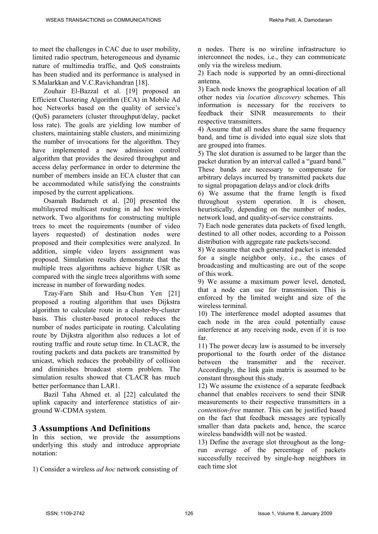to meet the challenges in CAC due to user mobility, limited radio spectrum, heterogeneous and dynamic nature of multimedia traffic, and QoS constraints has been studied and its performance is analysed in S.Malarkkan and V.C.Ravichandran [18].

Zouhair El-Bazzal et al. [19] proposed an Efficient Clustering Algorithm (ECA) in Mobile Ad hoc Networks based on the quality of service's (QoS) parameters (cluster throughput/delay, packet loss rate). The goals are yielding low number of clusters, maintaining stable clusters, and minimizing the number of invocations for the algorithm. They have implemented a new admission control algorithm that provides the desired throughput and access delay performance in order to determine the number of members inside an ECA cluster that can be accommodated while satisfying the constraints imposed by the current applications.

Osamah Badarneh et al. [20] presented the multilayered multicast routing in ad hoc wireless network. Two algorithms for constructing multiple trees to meet the requirements (number of video layers requested) of destination nodes were proposed and their complexities were analyzed. In addition, simple video layers assignment was proposed. Simulation results demonstrate that the multiple trees algorithms achieve higher USR as compared with the single trees algorithms with some increase in number of forwarding nodes.

Tzay-Farn Shih and Hsu-Chun Yen [21] proposed a routing algorithm that uses Dijkstra algorithm to calculate route in a cluster-by-cluster basis. This cluster-based protocol reduces the number of nodes participate in routing. Calculating route by Dijkstra algorithm also reduces a lot of routing traffic and route setup time. In CLACR, the routing packets and data packets are transmitted by unicast, which reduces the probability of collision and diminishes broadcast storm problem. The simulation results showed that CLACR has much better performance than LAR1.

Bazil Taha Ahmed et. al [22] calculated the uplink capacity and interference statistics of airground W-CDMA system.

### **3 Assumptions And Definitions**

In this section, we provide the assumptions underlying this study and introduce appropriate notation:

1) Consider a wireless *ad hoc* network consisting of

n nodes. There is no wireline infrastructure to interconnect the nodes, i.e., they can communicate only via the wireless medium.

2) Each node is supported by an omni-directional antenna.

3) Each node knows the geographical location of all other nodes via *location discovery* schemes. This information is necessary for the receivers to feedback their SINR measurements to their respective transmitters.

4) Assume that all nodes share the same frequency band, and time is divided into equal size slots that are grouped into frames.

5) The slot duration is assumed to be larger than the packet duration by an interval called a "guard band."

These bands are necessary to compensate for arbitrary delays incurred by transmitted packets due to signal propagation delays and/or clock drifts

6) We assume that the frame length is fixed throughout system operation. It is chosen, heuristically, depending on the number of nodes, network load, and quality-of-service constraints.

7) Each node generates data packets of fixed length, destined to all other nodes, according to a Poisson distribution with aggregate rate packets/second.

8) We assume that each generated packet is intended for a single neighbor only, i.e., the cases of broadcasting and multicasting are out of the scope of this work.

9) We assume a maximum power level, denoted, that a node can use for transmission. This is enforced by the limited weight and size of the wireless terminal.

10) The interference model adopted assumes that each node in the area could potentially cause interference at any receiving node, even if it is too far.

11) The power decay law is assumed to be inversely proportional to the fourth order of the distance between the transmitter and the receiver. Accordingly, the link gain matrix is assumed to be constant throughout this study.

12) We assume the existence of a separate feedback channel that enables receivers to send their SINR measurements to their respective transmitters in a *contention-free* manner. This can be justified based on the fact that feedback messages are typically smaller than data packets and, hence, the scarce wireless bandwidth will not be wasted.

13) Define the average slot throughout as the longrun average of the percentage of packets successfully received by single-hop neighbors in each time slot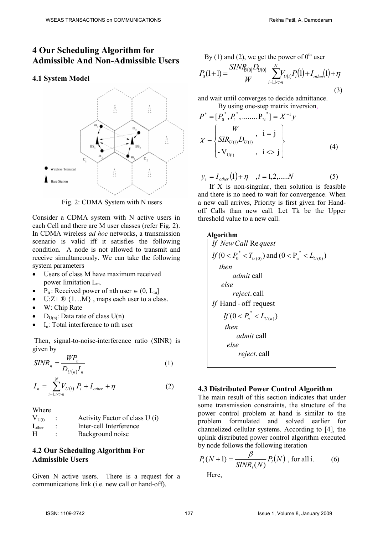## **4 Our Scheduling Algorithm for Admissible And Non-Admissible Users**

#### **4.1 System Model**



Fig. 2: CDMA System with N users

Consider a CDMA system with N active users in each Cell and there are M user classes (refer Fig. 2). In CDMA wireless *ad hoc* networks, a transmission scenario is valid iff it satisfies the following condition. A node is not allowed to transmit and receive simultaneously. We can take the following system parameters

- Users of class M have maximum received power limitation Lm.
- P<sub>n</sub>: Received power of nth user  $\in (0, L_m]$
- $U:Z+\mathbb{R} \{1...M\}$ , maps each user to a class.
- W: Chip Rate
- D<sub>U(n)</sub>: Data rate of class  $U(n)$
- $I_n$ : Total interference to nth user

 Then, signal-to-noise-interference ratio (SINR) is given by

$$
SINR_n = \frac{WP_n}{D_{U(n)}I_n} \tag{1}
$$

$$
I_n = \sum_{i=1, i \le n}^{N} V_{U(i)} P_i + I_{other} + \eta
$$
 (2)

Where

| $V_{U(i)}$  |   | Activity Factor of class U(i) |
|-------------|---|-------------------------------|
| $I_{other}$ |   | Inter-cell Interference       |
| H           | ۰ | Background noise              |

#### **4.2 Our Scheduling Algorithm For Admissible Users**

Given N active users. There is a request for a communications link (i.e. new call or hand-off).

By (1) and (2), we get the power of  $0<sup>th</sup>$  user

$$
P_0(1+1) = \frac{SINR_{(0)}D_{U(0)}}{W} \sum_{i=1, i \le n}^{N} V_{U(i)}P_i(1) + I_{other}(1) + \eta
$$
\n(3)

and wait until converges to decide admittance. By using one-step matrix inversion

$$
P^* = [P_0^*, P_1^*, \dots, P_N^*] = X^{-1}y
$$
  

$$
X = \begin{cases} \frac{W}{SIR_{U(i)}D_{U(i)}}, & i = j \\ -V_{U(i)}, & i < j \end{cases}
$$
 (4)

$$
y_i = I_{other}(1) + \eta
$$
,  $i = 1, 2, ....N$  (5)

If  $X$  is non-singular, then solution is feasible and there is no need to wait for convergence. When a new call arrives, Priority is first given for Handoff Calls than new call. Let Tk be the Upper threshold value to a new call.

#### **Algorithm**

| If New Call Request                                      |  |  |  |  |
|----------------------------------------------------------|--|--|--|--|
| $If (0 < P_0^* < T_{U(0)})$ and $(0 < P_n^* < L_{U(0)})$ |  |  |  |  |
| then                                                     |  |  |  |  |
| <i>admit</i> call                                        |  |  |  |  |
| else                                                     |  |  |  |  |
| <i>reject</i> .call                                      |  |  |  |  |
| If Hand - off request                                    |  |  |  |  |
| If $(0 < P_n^* < L_{U(n)})$                              |  |  |  |  |
| then                                                     |  |  |  |  |
| <i>admit</i> call                                        |  |  |  |  |
| else                                                     |  |  |  |  |
| <i>reject</i> .call                                      |  |  |  |  |
|                                                          |  |  |  |  |

#### **4.3 Distributed Power Control Algorithm**

The main result of this section indicates that under some transmission constraints, the structure of the power control problem at hand is similar to the problem formulated and solved earlier for channelized cellular systems. According to [4], the uplink distributed power control algorithm executed by node follows the following iteration

$$
P_i(N+1) = \frac{\beta}{SINR_i(N)} P_i(N) , \text{ for all } i.
$$
 (6)

Here,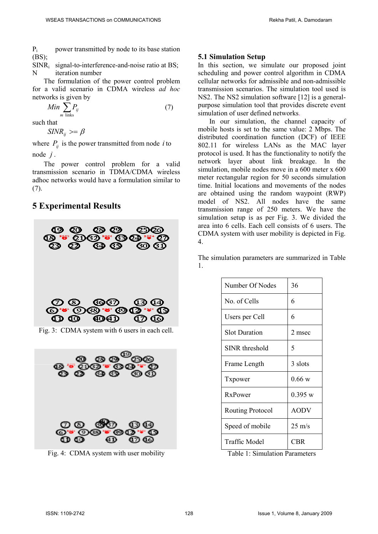$P_i$  power transmitted by node to its base station (BS);

 $SINR<sub>i</sub>$  signal-to-interference-and-noise ratio at BS; N iteration number

The formulation of the power control problem for a valid scenario in CDMA wireless *ad hoc*  networks is given by

$$
Min \sum_{m \text{ links}} P_{ij} \tag{7}
$$

such that

*SINR*<sub>*ij*</sub> >=  $\beta$ 

where  $P_{ii}$  is the power transmitted from node *i* to node *j* .

The power control problem for a valid transmission scenario in TDMA/CDMA wireless adhoc networks would have a formulation similar to (7).

## **5 Experimental Results**



Fig. 3: CDMA system with 6 users in each cell.



Fig. 4: CDMA system with user mobility

#### **5.1 Simulation Setup**

In this section, we simulate our proposed joint scheduling and power control algorithm in CDMA cellular networks for admissible and non-admissible transmission scenarios. The simulation tool used is NS2. The NS2 simulation software [12] is a generalpurpose simulation tool that provides discrete event simulation of user defined networks.

In our simulation, the channel capacity of mobile hosts is set to the same value: 2 Mbps. The distributed coordination function (DCF) of IEEE 802.11 for wireless LANs as the MAC layer protocol is used. It has the functionality to notify the network layer about link breakage. In the simulation, mobile nodes move in a 600 meter x 600 meter rectangular region for 50 seconds simulation time. Initial locations and movements of the nodes are obtained using the random waypoint (RWP) model of NS2. All nodes have the same transmission range of 250 meters. We have the simulation setup is as per Fig. 3. We divided the area into 6 cells. Each cell consists of 6 users. The CDMA system with user mobility is depicted in Fig. 4.

The simulation parameters are summarized in Table 1.

| Number Of Nodes         | 36               |
|-------------------------|------------------|
| No. of Cells            | 6                |
| Users per Cell          | 6                |
| <b>Slot Duration</b>    | 2 msec           |
| SINR threshold          | 5                |
| Frame Length            | 3 slots          |
| Txpower                 | 0.66 w           |
| <b>RxPower</b>          | 0.395 w          |
| <b>Routing Protocol</b> | <b>AODV</b>      |
| Speed of mobile         | $25 \text{ m/s}$ |
| <b>Traffic Model</b>    | CBR              |

Table 1: Simulation Parameters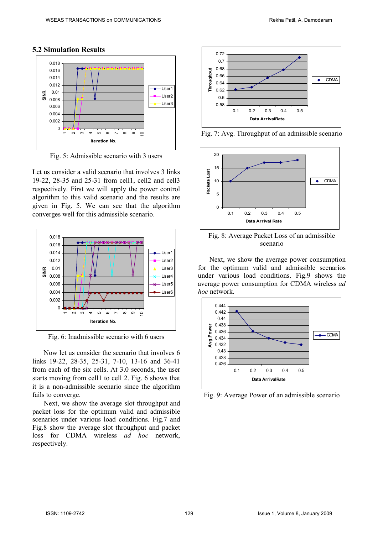

#### **5.2 Simulation Results**

Fig. 5: Admissible scenario with 3 users

Let us consider a valid scenario that involves 3 links 19-22, 28-35 and 25-31 from cell1, cell2 and cell3 respectively. First we will apply the power control algorithm to this valid scenario and the results are given in Fig. 5. We can see that the algorithm converges well for this admissible scenario.



Fig. 6: Inadmissible scenario with 6 users

Now let us consider the scenario that involves 6 links 19-22, 28-35, 25-31, 7-10, 13-16 and 36-41 from each of the six cells. At 3.0 seconds, the user starts moving from cell1 to cell 2. Fig. 6 shows that it is a non-admissible scenario since the algorithm fails to converge.

Next, we show the average slot throughput and packet loss for the optimum valid and admissible scenarios under various load conditions. Fig.7 and Fig.8 show the average slot throughput and packet loss for CDMA wireless *ad hoc* network, respectively.



Fig. 7: Avg. Throughput of an admissible scenario



Fig. 8: Average Packet Loss of an admissible scenario

Next, we show the average power consumption for the optimum valid and admissible scenarios under various load conditions. Fig.9 shows the average power consumption for CDMA wireless *ad hoc* network.



Fig. 9: Average Power of an admissible scenario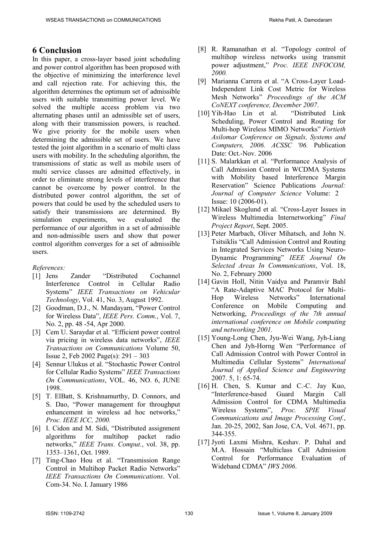# **6 Conclusion**

In this paper, a cross-layer based joint scheduling and power control algorithm has been proposed with the objective of minimizing the interference level and call rejection rate. For achieving this, the algorithm determines the optimum set of admissible users with suitable transmitting power level. We solved the multiple access problem via two alternating phases until an admissible set of users, along with their transmission powers, is reached. We give priority for the mobile users when determining the admissible set of users. We have tested the joint algorithm in a scenario of multi class users with mobility. In the scheduling algorithm, the transmissions of static as well as mobile users of multi service classes are admitted effectively, in order to eliminate strong levels of interference that cannot be overcome by power control. In the distributed power control algorithm, the set of powers that could be used by the scheduled users to satisfy their transmissions are determined. By simulation experiments, we evaluated the performance of our algorithm in a set of admissible and non-admissible users and show that power control algorithm converges for a set of admissible users.

#### *References:*

- [1] Jens Zander "Distributed Cochannel Interference Control in Cellular Radio Systems" *IEEE Transactions on Vehicular Technology*, Vol. 41, No. 3, August 1992.
- [2] Goodman, D.J., N. Mandayam, "Power Control for Wireless Data", *IEEE Pers. Comm.*, Vol. 7, No. 2, pp. 48 -54, Apr 2000.
- [3] Cem U. Saraydar et al. "Efficient power control via pricing in wireless data networks", *IEEE Transactions on Communications* Volume 50, Issue 2, Feb 2002 Page(s): 291 – 303
- [4] Sennur Ulukus et al. "Stochastic Power Control for Cellular Radio Systems" *IEEE Transactions On Communications*, VOL. 46, NO. 6, JUNE 1998.
- [5] T. ElBatt, S. Krishnamurthy, D. Connors, and S. Dao, "Power management for throughput enhancement in wireless ad hoc networks," *Proc. IEEE ICC, 2000.*
- [6] I. Cidon and M. Sidi, "Distributed assignment algorithms for multihop packet radio networks," *IEEE Trans. Comput.*, vol. 38, pp. 1353–1361, Oct. 1989.
- [7] Ting-Chao Hou et al. "Transmission Range Control in Multihop Packet Radio Networks" *IEEE Transactions On Communications*. Vol. Com-34. No. I. January 1986
- [8] R. Ramanathan et al. "Topology control of multihop wireless networks using transmit power adjustment," *Proc. IEEE INFOCOM, 2000.*
- [9] Marianna Carrera et al. "A Cross-Layer Load-Independent Link Cost Metric for Wireless Mesh Networks" *Proceedings of the ACM*
- *CoNEXT conference, December 2007*.  $[10]$  Yih-Hao Lin et al. Scheduling, Power Control and Routing for Multi-hop Wireless MIMO Networks" *Fortieth Asilomar Conference on Signals, Systems and Computers, 2006. ACSSC '06.* Publication Date: Oct.-Nov. 2006
- [11] S. Malarkkan et al. "Performance Analysis of Call Admission Control in WCDMA Systems with Mobility based Interference Margin Reservation" Science Publications *Journal: Journal of Computer Science* Volume: 2 Issue: 10 (2006-01).
- [12] Mikael Skoglund et al. "Cross-Layer Issues in Wireless Multimedia Internetworking" *Final Project Report*, Sept. 2005.
- [13] Peter Marbach, Oliver Mihatsch, and John N. Tsitsiklis "Call Admission Control and Routing in Integrated Services Networks Using Neuro-Dynamic Programming" *IEEE Journal On Selected Areas In Communications*, Vol. 18, No. 2, February 2000
- [14] Gavin Holl, Nitin Vaidya and Paramvir Bahl "A Rate-Adaptive MAC Protocol for Multi-Hop Wireless Networks" International Conference on Mobile Computing and Networking, *Proceedings of the 7th annual international conference on Mobile computing and networking 2001.*
- [15] Young-Long Chen, Jyu-Wei Wang, Jyh-Liang Chen and Jyh-Horng Wen "Performance of Call Admission Control with Power Control in Multimedia Cellular Systems" *International Journal of Applied Science and Engineering* 2007. 5, 1: 65-74.
- [16] H. Chen, S. Kumar and C.-C. Jay Kuo, "Interference-based Guard Margin Call Admission Control for CDMA Multimedia Wireless Systems", *Proc. SPIE Visual Communications and Image Processing Conf.*, Jan. 20-25, 2002, San Jose, CA, Vol. 4671, pp. 344-355.
- [17] Jyoti Laxmi Mishra, Keshav. P. Dahal and M.A. Hossain "Multiclass Call Admission Control for Performance Evaluation of Wideband CDMA" *IWS 2006*.